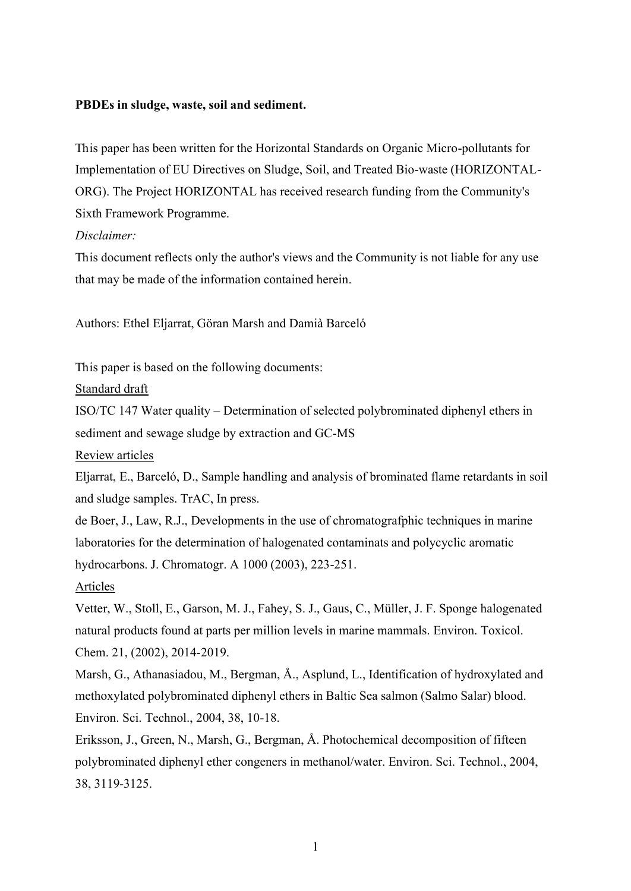#### **PBDEs in sludge, waste, soil and sediment.**

This paper has been written for the Horizontal Standards on Organic Micro-pollutants for Implementation of EU Directives on Sludge, Soil, and Treated Bio-waste (HORIZONTAL-ORG). The Project HORIZONTAL has received research funding from the Community's Sixth Framework Programme.

#### *Disclaimer:*

This document reflects only the author's views and the Community is not liable for any use that may be made of the information contained herein.

Authors: Ethel Eljarrat, Göran Marsh and Damià Barceló

This paper is based on the following documents:

Standard draft

ISO/TC 147 Water quality – Determination of selected polybrominated diphenyl ethers in sediment and sewage sludge by extraction and GC-MS

#### Review articles

Eljarrat, E., Barceló, D., Sample handling and analysis of brominated flame retardants in soil and sludge samples. TrAC, In press.

de Boer, J., Law, R.J., Developments in the use of chromatografphic techniques in marine laboratories for the determination of halogenated contaminats and polycyclic aromatic hydrocarbons. J. Chromatogr. A 1000 (2003), 223-251.

#### Articles

Vetter, W., Stoll, E., Garson, M. J., Fahey, S. J., Gaus, C., Müller, J. F. Sponge halogenated natural products found at parts per million levels in marine mammals. Environ. Toxicol. Chem. 21, (2002), 2014-2019.

Marsh, G., Athanasiadou, M., Bergman, Å., Asplund, L., Identification of hydroxylated and methoxylated polybrominated diphenyl ethers in Baltic Sea salmon (Salmo Salar) blood. Environ. Sci. Technol., 2004, 38, 10-18.

Eriksson, J., Green, N., Marsh, G., Bergman, Å. Photochemical decomposition of fifteen polybrominated diphenyl ether congeners in methanol/water. Environ. Sci. Technol., 2004, 38, 3119-3125.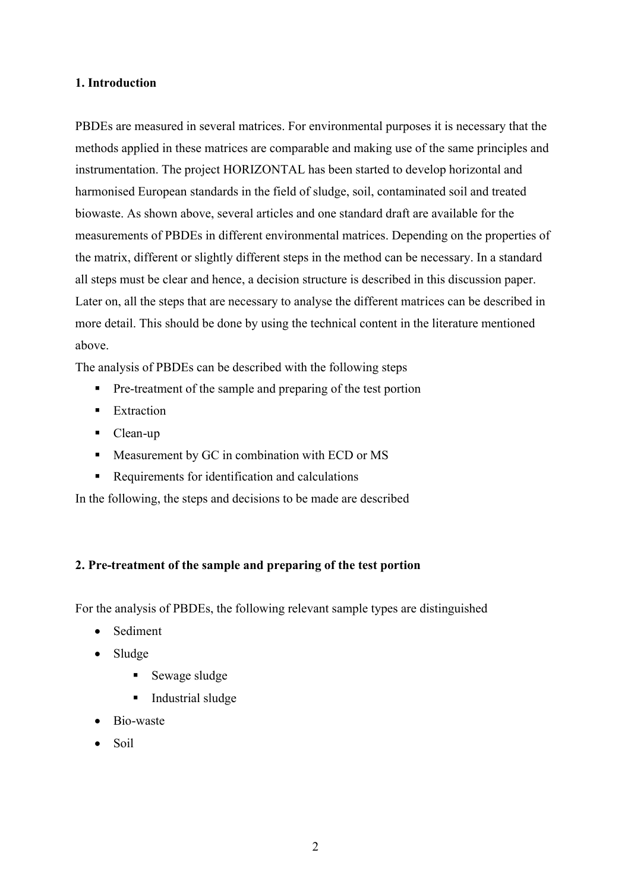### **1. Introduction**

PBDEs are measured in several matrices. For environmental purposes it is necessary that the methods applied in these matrices are comparable and making use of the same principles and instrumentation. The project HORIZONTAL has been started to develop horizontal and harmonised European standards in the field of sludge, soil, contaminated soil and treated biowaste. As shown above, several articles and one standard draft are available for the measurements of PBDEs in different environmental matrices. Depending on the properties of the matrix, different or slightly different steps in the method can be necessary. In a standard all steps must be clear and hence, a decision structure is described in this discussion paper. Later on, all the steps that are necessary to analyse the different matrices can be described in more detail. This should be done by using the technical content in the literature mentioned above.

The analysis of PBDEs can be described with the following steps

- Pre-treatment of the sample and preparing of the test portion
- Extraction
- Clean-up
- Measurement by GC in combination with ECD or MS
- Requirements for identification and calculations

In the following, the steps and decisions to be made are described

# **2. Pre-treatment of the sample and preparing of the test portion**

For the analysis of PBDEs, the following relevant sample types are distinguished

- Sediment
- Sludge
	- Sewage sludge
	- Industrial sludge
- · Bio-waste
- Soil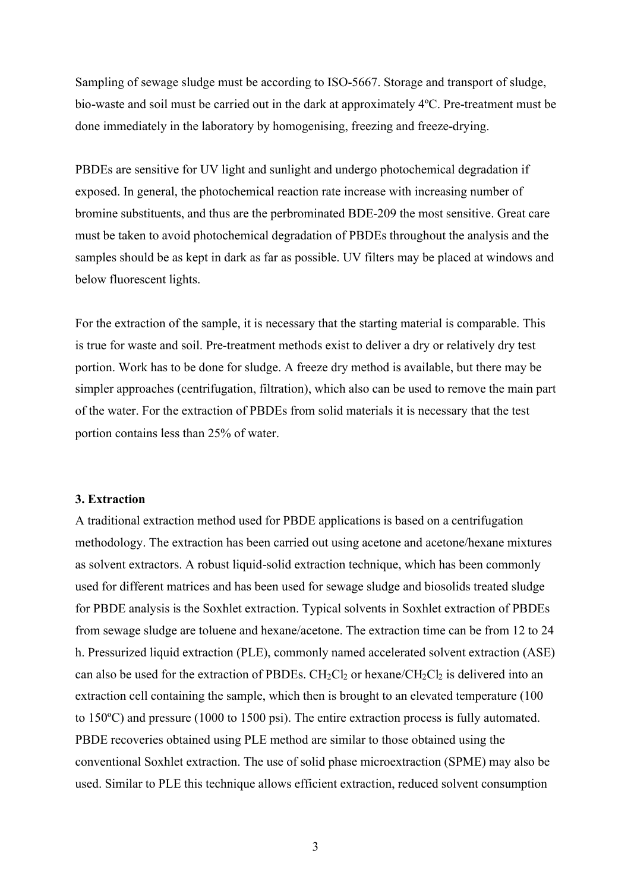Sampling of sewage sludge must be according to ISO-5667. Storage and transport of sludge, bio-waste and soil must be carried out in the dark at approximately 4ºC. Pre-treatment must be done immediately in the laboratory by homogenising, freezing and freeze-drying.

PBDEs are sensitive for UV light and sunlight and undergo photochemical degradation if exposed. In general, the photochemical reaction rate increase with increasing number of bromine substituents, and thus are the perbrominated BDE-209 the most sensitive. Great care must be taken to avoid photochemical degradation of PBDEs throughout the analysis and the samples should be as kept in dark as far as possible. UV filters may be placed at windows and below fluorescent lights.

For the extraction of the sample, it is necessary that the starting material is comparable. This is true for waste and soil. Pre-treatment methods exist to deliver a dry or relatively dry test portion. Work has to be done for sludge. A freeze dry method is available, but there may be simpler approaches (centrifugation, filtration), which also can be used to remove the main part of the water. For the extraction of PBDEs from solid materials it is necessary that the test portion contains less than 25% of water.

#### **3. Extraction**

A traditional extraction method used for PBDE applications is based on a centrifugation methodology. The extraction has been carried out using acetone and acetone/hexane mixtures as solvent extractors. A robust liquid-solid extraction technique, which has been commonly used for different matrices and has been used for sewage sludge and biosolids treated sludge for PBDE analysis is the Soxhlet extraction. Typical solvents in Soxhlet extraction of PBDEs from sewage sludge are toluene and hexane/acetone. The extraction time can be from 12 to 24 h. Pressurized liquid extraction (PLE), commonly named accelerated solvent extraction (ASE) can also be used for the extraction of PBDEs.  $CH_2Cl_2$  or hexane/ $CH_2Cl_2$  is delivered into an extraction cell containing the sample, which then is brought to an elevated temperature (100 to 150ºC) and pressure (1000 to 1500 psi). The entire extraction process is fully automated. PBDE recoveries obtained using PLE method are similar to those obtained using the conventional Soxhlet extraction. The use of solid phase microextraction (SPME) may also be used. Similar to PLE this technique allows efficient extraction, reduced solvent consumption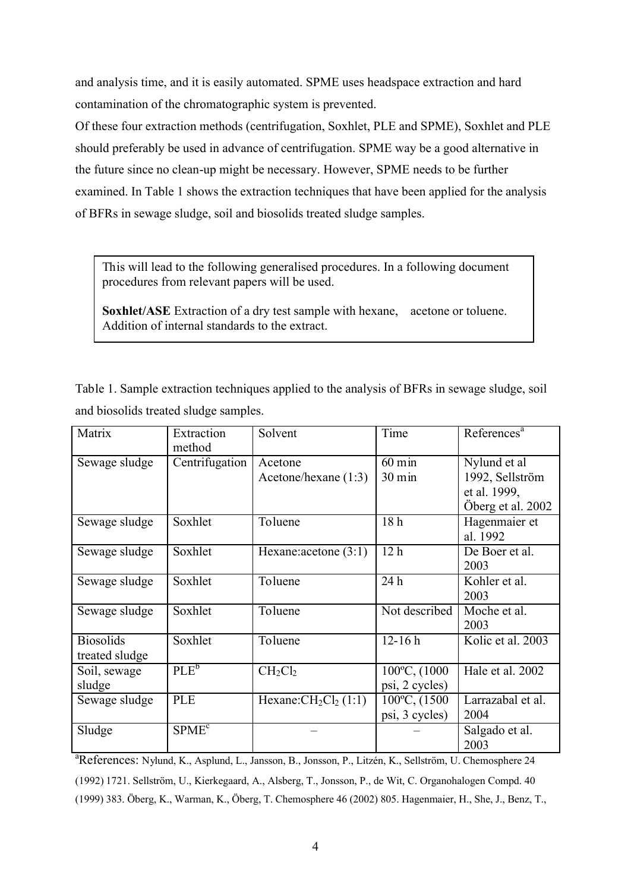and analysis time, and it is easily automated. SPME uses headspace extraction and hard contamination of the chromatographic system is prevented.

Of these four extraction methods (centrifugation, Soxhlet, PLE and SPME), Soxhlet and PLE should preferably be used in advance of centrifugation. SPME way be a good alternative in the future since no clean-up might be necessary. However, SPME needs to be further examined. In Table 1 shows the extraction techniques that have been applied for the analysis of BFRs in sewage sludge, soil and biosolids treated sludge samples.

This will lead to the following generalised procedures. In a following document procedures from relevant papers will be used.

**Soxhlet/ASE** Extraction of a dry test sample with hexane, acetone or toluene. Addition of internal standards to the extract.

Table 1. Sample extraction techniques applied to the analysis of BFRs in sewage sludge, soil and biosolids treated sludge samples.

| Matrix                             | Extraction<br>method | Solvent                           | Time                                    | References <sup>a</sup>                                              |
|------------------------------------|----------------------|-----------------------------------|-----------------------------------------|----------------------------------------------------------------------|
| Sewage sludge                      | Centrifugation       | Acetone<br>Acetone/hexane $(1:3)$ | $\overline{6}0$ min<br>$30 \text{ min}$ | Nylund et al<br>1992, Sellström<br>et al. 1999,<br>Öberg et al. 2002 |
| Sewage sludge                      | Soxhlet              | Toluene                           | 18 <sub>h</sub>                         | Hagenmaier et<br>al. 1992                                            |
| Sewage sludge                      | Soxhlet              | Hexane: acetone $(3:1)$           | 12h                                     | De Boer et al.<br>2003                                               |
| Sewage sludge                      | Soxhlet              | Toluene                           | 24h                                     | Kohler et al.<br>2003                                                |
| Sewage sludge                      | Soxhlet              | Toluene                           | Not described                           | Moche et al.<br>2003                                                 |
| <b>Biosolids</b><br>treated sludge | Soxhlet              | Toluene                           | $12 - 16h$                              | Kolic et al. 2003                                                    |
| Soil, sewage<br>sludge             | PLE <sup>b</sup>     | $CH_2Cl_2$                        | 100°C, (1000<br>psi, 2 cycles)          | Hale et al. 2002                                                     |
| Sewage sludge                      | <b>PLE</b>           | Hexane: $CH2Cl2(1:1)$             | 100°C, (1500<br>psi, 3 cycles)          | Larrazabal et al.<br>2004                                            |
| Sludge                             | SPME <sup>c</sup>    |                                   |                                         | Salgado et al.<br>2003                                               |

<sup>a</sup>References: Nylund, K., Asplund, L., Jansson, B., Jonsson, P., Litzén, K., Sellström, U. Chemosphere 24 (1992) 1721. Sellström, U., Kierkegaard, A., Alsberg, T., Jonsson, P., de Wit, C. Organohalogen Compd. 40 (1999) 383. Öberg, K., Warman, K., Öberg, T. Chemosphere 46 (2002) 805. Hagenmaier, H., She, J., Benz, T.,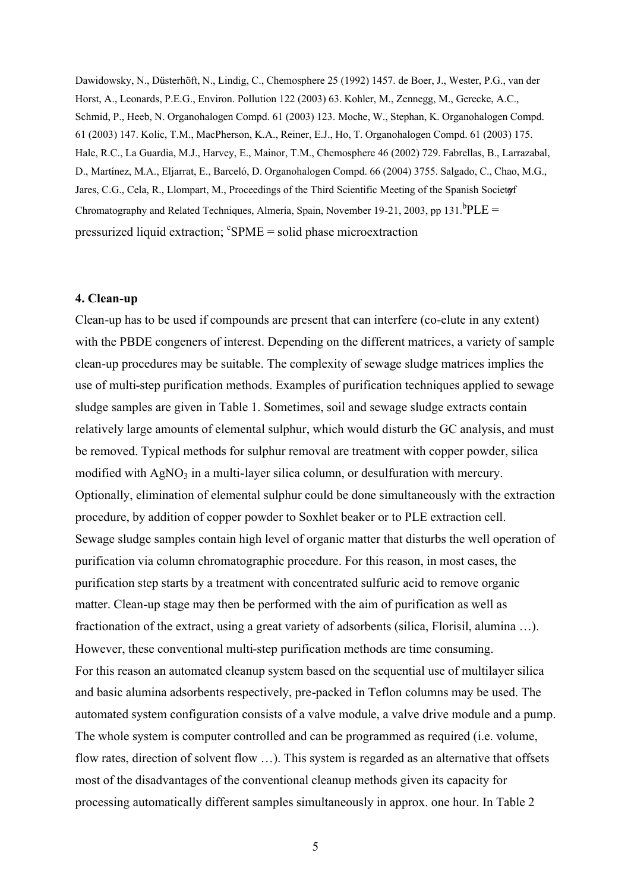Dawidowsky, N., Düsterhöft, N., Lindig, C., Chemosphere 25 (1992) 1457. de Boer, J., Wester, P.G., van der Horst, A., Leonards, P.E.G., Environ. Pollution 122 (2003) 63. Kohler, M., Zennegg, M., Gerecke, A.C., Schmid, P., Heeb, N. Organohalogen Compd. 61 (2003) 123. Moche, W., Stephan, K. Organohalogen Compd. 61 (2003) 147. Kolic, T.M., MacPherson, K.A., Reiner, E.J., Ho, T. Organohalogen Compd. 61 (2003) 175. Hale, R.C., La Guardia, M.J., Harvey, E., Mainor, T.M., Chemosphere 46 (2002) 729. Fabrellas, B., Larrazabal, D., Martínez, M.A., Eljarrat, E., Barceló, D. Organohalogen Compd. 66 (2004) 3755. Salgado, C., Chao, M.G., Jares, C.G., Cela, R., Llompart, M., Proceedings of the Third Scientific Meeting of the Spanish Societor Chromatography and Related Techniques, Almería, Spain, November 19-21, 2003, pp 131.<sup>b</sup>PLE = pressurized liquid extraction; <sup>c</sup>SPME = solid phase microextraction

#### **4. Clean-up**

Clean-up has to be used if compounds are present that can interfere (co-elute in any extent) with the PBDE congeners of interest. Depending on the different matrices, a variety of sample clean-up procedures may be suitable. The complexity of sewage sludge matrices implies the use of multi-step purification methods. Examples of purification techniques applied to sewage sludge samples are given in Table 1. Sometimes, soil and sewage sludge extracts contain relatively large amounts of elemental sulphur, which would disturb the GC analysis, and must be removed. Typical methods for sulphur removal are treatment with copper powder, silica modified with  $AgNO<sub>3</sub>$  in a multi-layer silica column, or desulfuration with mercury. Optionally, elimination of elemental sulphur could be done simultaneously with the extraction procedure, by addition of copper powder to Soxhlet beaker or to PLE extraction cell. Sewage sludge samples contain high level of organic matter that disturbs the well operation of purification via column chromatographic procedure. For this reason, in most cases, the purification step starts by a treatment with concentrated sulfuric acid to remove organic matter. Clean-up stage may then be performed with the aim of purification as well as fractionation of the extract, using a great variety of adsorbents (silica, Florisil, alumina …). However, these conventional multi-step purification methods are time consuming. For this reason an automated cleanup system based on the sequential use of multilayer silica and basic alumina adsorbents respectively, pre-packed in Teflon columns may be used. The automated system configuration consists of a valve module, a valve drive module and a pump. The whole system is computer controlled and can be programmed as required (i.e. volume, flow rates, direction of solvent flow …). This system is regarded as an alternative that offsets most of the disadvantages of the conventional cleanup methods given its capacity for processing automatically different samples simultaneously in approx. one hour. In Table 2

5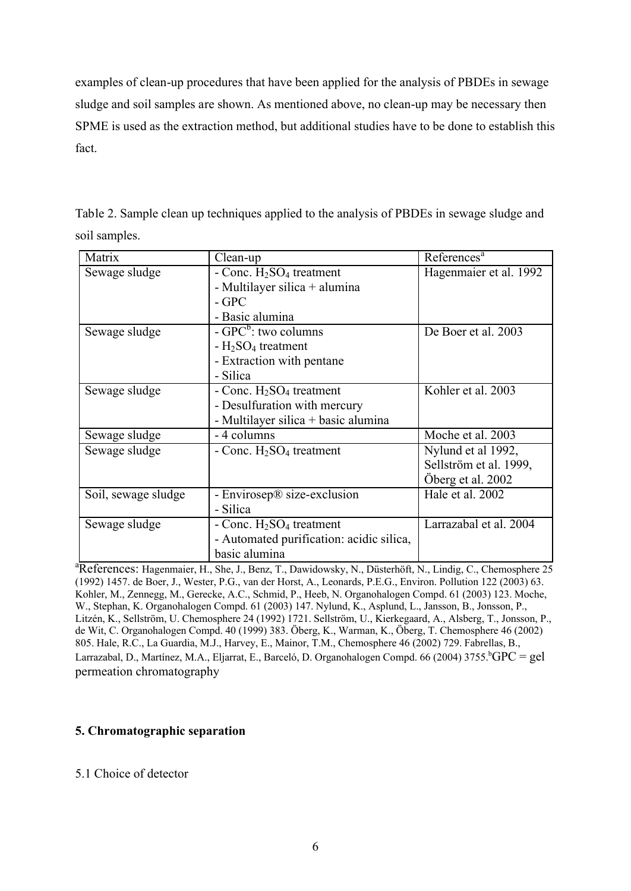examples of clean-up procedures that have been applied for the analysis of PBDEs in sewage sludge and soil samples are shown. As mentioned above, no clean-up may be necessary then SPME is used as the extraction method, but additional studies have to be done to establish this fact.

| Table 2. Sample clean up techniques applied to the analysis of PBDEs in sewage sludge and |
|-------------------------------------------------------------------------------------------|
| soil samples.                                                                             |

| Matrix              | Clean-up                                 | $\overline{\text{References}}^a$ |
|---------------------|------------------------------------------|----------------------------------|
| Sewage sludge       | - Conc. $H_2SO_4$ treatment              | Hagenmaier et al. 1992           |
|                     | - Multilayer silica + alumina            |                                  |
|                     | $-$ GPC                                  |                                  |
|                     | - Basic alumina                          |                                  |
| Sewage sludge       | $-$ GPC <sup>b</sup> : two columns       | De Boer et al. 2003              |
|                     | $-H2SO4$ treatment                       |                                  |
|                     | - Extraction with pentane                |                                  |
|                     | - Silica                                 |                                  |
| Sewage sludge       | - Conc. $H_2SO_4$ treatment              | Kohler et al. 2003               |
|                     | - Desulfuration with mercury             |                                  |
|                     | - Multilayer silica + basic alumina      |                                  |
| Sewage sludge       | - 4 columns                              | Moche et al. 2003                |
| Sewage sludge       | - Conc. $H_2SO_4$ treatment              | Nylund et al 1992,               |
|                     |                                          | Sellström et al. 1999,           |
|                     |                                          | Öberg et al. 2002                |
| Soil, sewage sludge | - Envirosep® size-exclusion              | Hale et al. 2002                 |
|                     | - Silica                                 |                                  |
| Sewage sludge       | - Conc. $H_2SO_4$ treatment              | Larrazabal et al. 2004           |
|                     | - Automated purification: acidic silica, |                                  |
|                     | basic alumina                            |                                  |

<sup>a</sup>References: Hagenmaier, H., She, J., Benz, T., Dawidowsky, N., Düsterhöft, N., Lindig, C., Chemosphere 25 (1992) 1457. de Boer, J., Wester, P.G., van der Horst, A., Leonards, P.E.G., Environ. Pollution 122 (2003) 63. Kohler, M., Zennegg, M., Gerecke, A.C., Schmid, P., Heeb, N. Organohalogen Compd. 61 (2003) 123. Moche, W., Stephan, K. Organohalogen Compd. 61 (2003) 147. Nylund, K., Asplund, L., Jansson, B., Jonsson, P., Litzén, K., Sellström, U. Chemosphere 24 (1992) 1721. Sellström, U., Kierkegaard, A., Alsberg, T., Jonsson, P., de Wit, C. Organohalogen Compd. 40 (1999) 383. Öberg, K., Warman, K., Öberg, T. Chemosphere 46 (2002) 805. Hale, R.C., La Guardia, M.J., Harvey, E., Mainor, T.M., Chemosphere 46 (2002) 729. Fabrellas, B., Larrazabal, D., Martínez, M.A., Eljarrat, E., Barceló, D. Organohalogen Compd. 66 (2004) 3755.<sup>b</sup>GPC = gel permeation chromatography

# **5. Chromatographic separation**

### 5.1 Choice of detector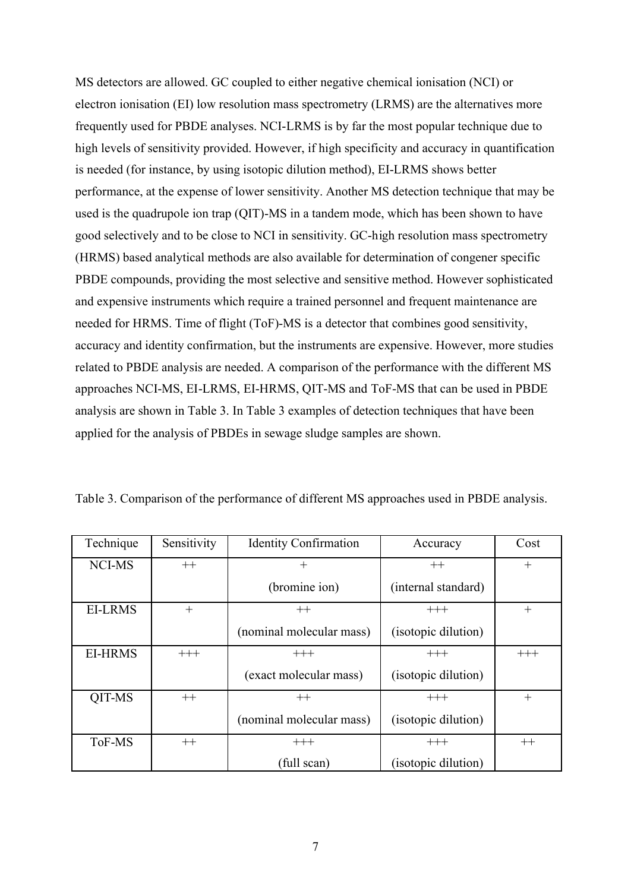MS detectors are allowed. GC coupled to either negative chemical ionisation (NCI) or electron ionisation (EI) low resolution mass spectrometry (LRMS) are the alternatives more frequently used for PBDE analyses. NCI-LRMS is by far the most popular technique due to high levels of sensitivity provided. However, if high specificity and accuracy in quantification is needed (for instance, by using isotopic dilution method), EI-LRMS shows better performance, at the expense of lower sensitivity. Another MS detection technique that may be used is the quadrupole ion trap (QIT)-MS in a tandem mode, which has been shown to have good selectively and to be close to NCI in sensitivity. GC-high resolution mass spectrometry (HRMS) based analytical methods are also available for determination of congener specific PBDE compounds, providing the most selective and sensitive method. However sophisticated and expensive instruments which require a trained personnel and frequent maintenance are needed for HRMS. Time of flight (ToF)-MS is a detector that combines good sensitivity, accuracy and identity confirmation, but the instruments are expensive. However, more studies related to PBDE analysis are needed. A comparison of the performance with the different MS approaches NCI-MS, EI-LRMS, EI-HRMS, QIT-MS and ToF-MS that can be used in PBDE analysis are shown in Table 3. In Table 3 examples of detection techniques that have been applied for the analysis of PBDEs in sewage sludge samples are shown.

| Technique      | Sensitivity | <b>Identity Confirmation</b> | Accuracy            | Cost     |
|----------------|-------------|------------------------------|---------------------|----------|
| NCI-MS         | $++$        | $\pm$                        | $++$                | $^{+}$   |
|                |             | (bromine ion)                | (internal standard) |          |
| <b>EI-LRMS</b> | $^{+}$      | $++$                         | $+++$               | $^{+}$   |
|                |             | (nominal molecular mass)     | (isotopic dilution) |          |
| <b>EI-HRMS</b> | $+++$       | $+++$                        | $+++$               | $^{+++}$ |
|                |             | (exact molecular mass)       | (isotopic dilution) |          |
| QIT-MS         | $^{++}$     | $++$                         | $+++$               | $^{+}$   |
|                |             | (nominal molecular mass)     | (isotopic dilution) |          |
| ToF-MS         | $++$        | $+++$                        | $+++$               | $++$     |
|                |             | (full scan)                  | (isotopic dilution) |          |

Table 3. Comparison of the performance of different MS approaches used in PBDE analysis.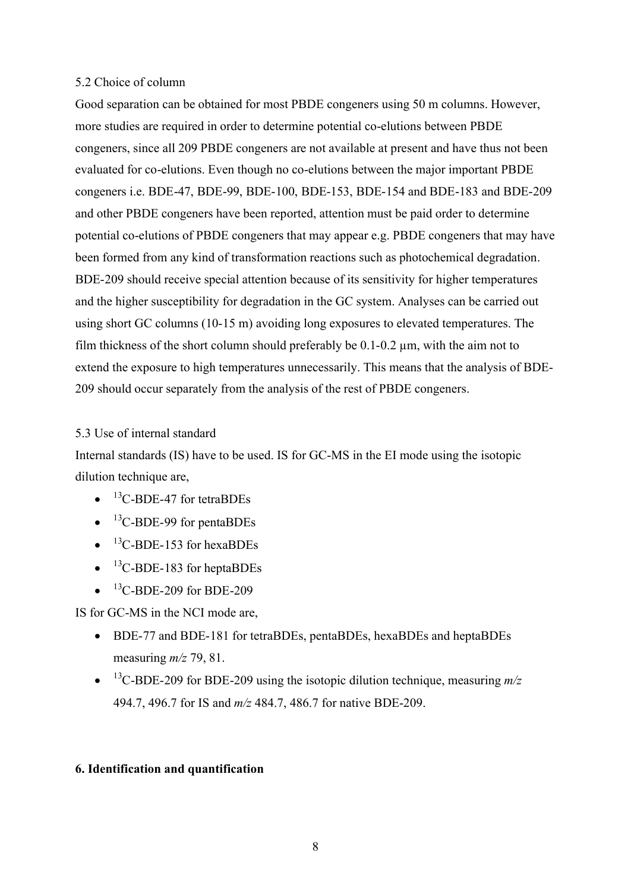### 5.2 Choice of column

Good separation can be obtained for most PBDE congeners using 50 m columns. However, more studies are required in order to determine potential co-elutions between PBDE congeners, since all 209 PBDE congeners are not available at present and have thus not been evaluated for co-elutions. Even though no co-elutions between the major important PBDE congeners i.e. BDE-47, BDE-99, BDE-100, BDE-153, BDE-154 and BDE-183 and BDE-209 and other PBDE congeners have been reported, attention must be paid order to determine potential co-elutions of PBDE congeners that may appear e.g. PBDE congeners that may have been formed from any kind of transformation reactions such as photochemical degradation. BDE-209 should receive special attention because of its sensitivity for higher temperatures and the higher susceptibility for degradation in the GC system. Analyses can be carried out using short GC columns (10-15 m) avoiding long exposures to elevated temperatures. The film thickness of the short column should preferably be  $0.1$ - $0.2 \mu$ m, with the aim not to extend the exposure to high temperatures unnecessarily. This means that the analysis of BDE-209 should occur separately from the analysis of the rest of PBDE congeners.

# 5.3 Use of internal standard

Internal standards (IS) have to be used. IS for GC-MS in the EI mode using the isotopic dilution technique are,

- $\bullet$  <sup>13</sup>C-BDE-47 for tetraBDEs
- $\bullet$  <sup>13</sup>C-BDE-99 for pentaBDEs
- $\bullet$  <sup>13</sup>C-BDE-153 for hexaBDEs
- $\bullet$  <sup>13</sup>C-BDE-183 for heptaBDEs
- $\bullet$  <sup>13</sup>C-BDE-209 for BDE-209

IS for GC-MS in the NCI mode are,

- · BDE-77 and BDE-181 for tetraBDEs, pentaBDEs, hexaBDEs and heptaBDEs measuring *m/z* 79, 81.
- $\bullet$  <sup>13</sup>C-BDE-209 for BDE-209 using the isotopic dilution technique, measuring  $m/z$ 494.7, 496.7 for IS and *m/z* 484.7, 486.7 for native BDE-209.

# **6. Identification and quantification**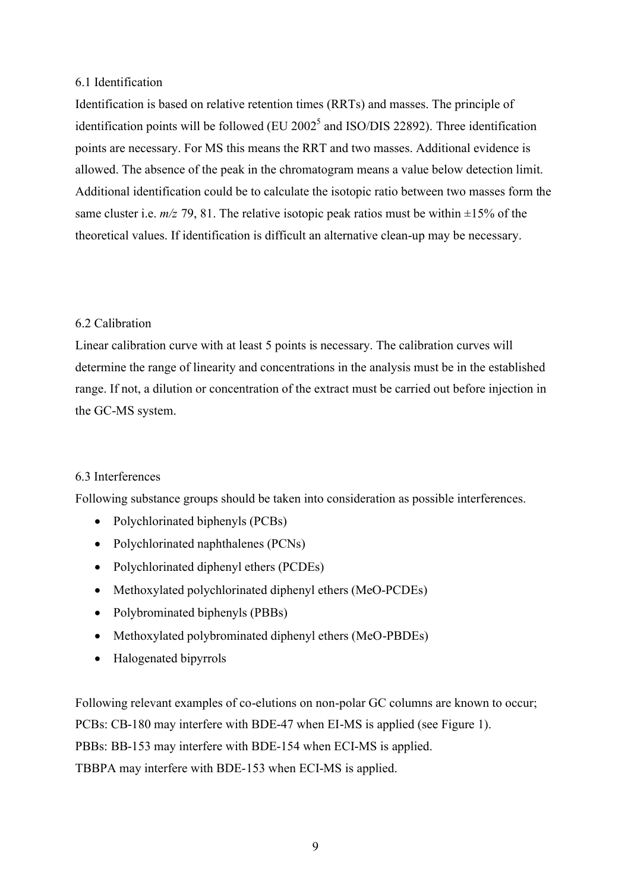### 6.1 Identification

Identification is based on relative retention times (RRTs) and masses. The principle of identification points will be followed  $(EU 2002<sup>5</sup>$  and ISO/DIS 22892). Three identification points are necessary. For MS this means the RRT and two masses. Additional evidence is allowed. The absence of the peak in the chromatogram means a value below detection limit. Additional identification could be to calculate the isotopic ratio between two masses form the same cluster i.e.  $m/z$  79, 81. The relative isotopic peak ratios must be within  $\pm 15\%$  of the theoretical values. If identification is difficult an alternative clean-up may be necessary.

# 6.2 Calibration

Linear calibration curve with at least 5 points is necessary. The calibration curves will determine the range of linearity and concentrations in the analysis must be in the established range. If not, a dilution or concentration of the extract must be carried out before injection in the GC-MS system.

# 6.3 Interferences

Following substance groups should be taken into consideration as possible interferences.

- Polychlorinated biphenyls (PCBs)
- Polychlorinated naphthalenes (PCNs)
- Polychlorinated diphenyl ethers (PCDEs)
- Methoxylated polychlorinated diphenyl ethers (MeO-PCDEs)
- Polybrominated biphenyls (PBBs)
- Methoxylated polybrominated diphenyl ethers (MeO-PBDEs)
- · Halogenated bipyrrols

Following relevant examples of co-elutions on non-polar GC columns are known to occur; PCBs: CB-180 may interfere with BDE-47 when EI-MS is applied (see Figure 1). PBBs: BB-153 may interfere with BDE-154 when ECI-MS is applied. TBBPA may interfere with BDE-153 when ECI-MS is applied.